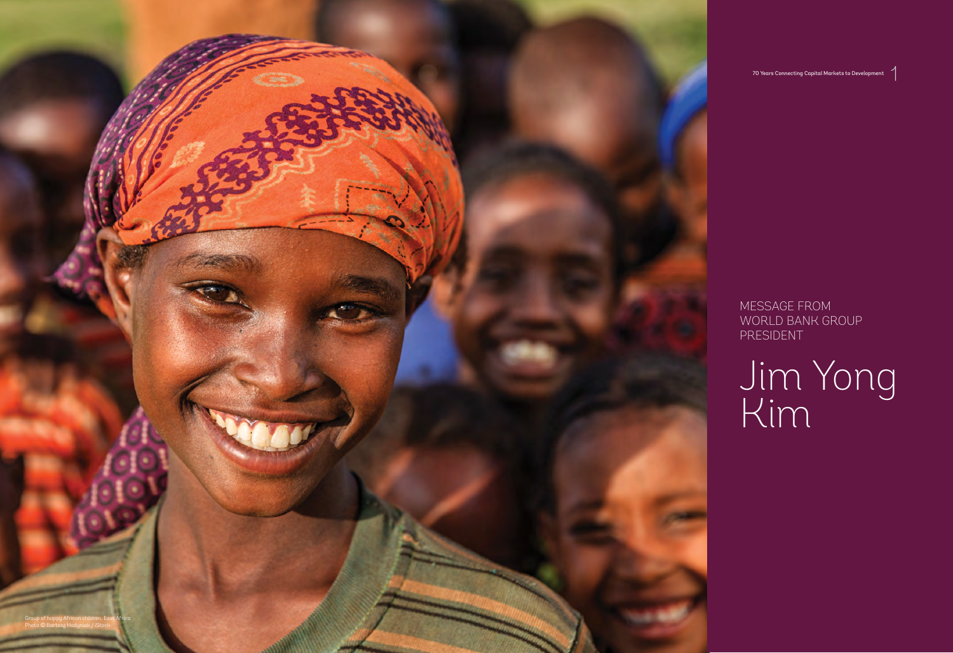70 Years Connecting Capital Markets to Development

1

MESSAGE FROM WORLD BANK GROUP PRESIDENT

## Jim Yong Kim